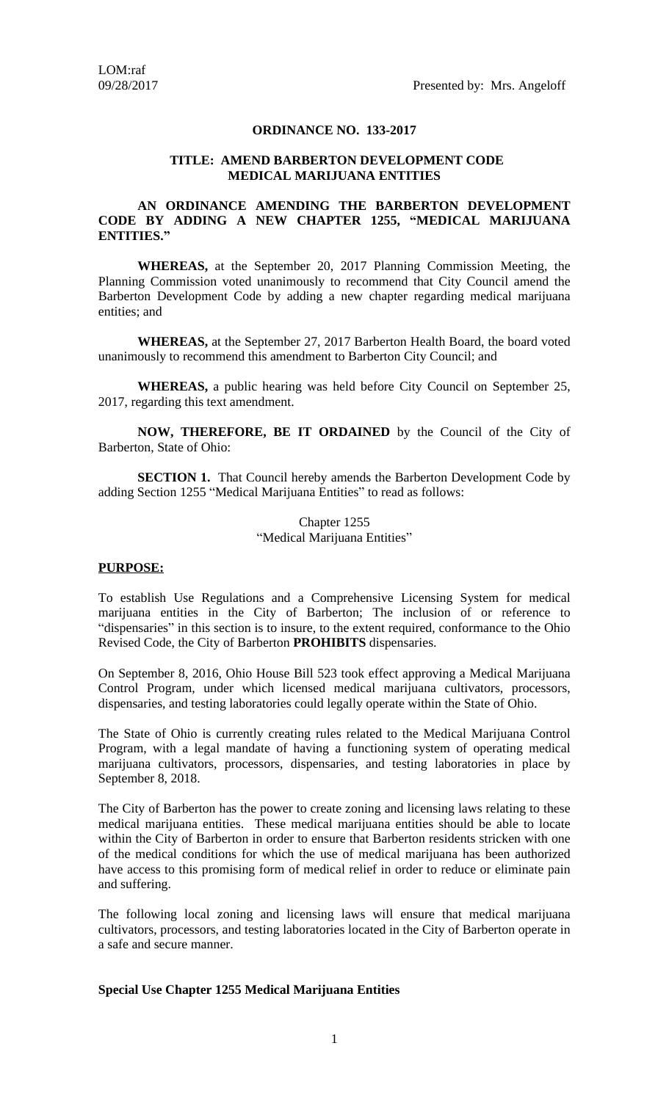# **ORDINANCE NO. 133-2017**

#### **TITLE: AMEND BARBERTON DEVELOPMENT CODE MEDICAL MARIJUANA ENTITIES**

## **AN ORDINANCE AMENDING THE BARBERTON DEVELOPMENT CODE BY ADDING A NEW CHAPTER 1255, "MEDICAL MARIJUANA ENTITIES."**

**WHEREAS,** at the September 20, 2017 Planning Commission Meeting, the Planning Commission voted unanimously to recommend that City Council amend the Barberton Development Code by adding a new chapter regarding medical marijuana entities; and

**WHEREAS,** at the September 27, 2017 Barberton Health Board, the board voted unanimously to recommend this amendment to Barberton City Council; and

**WHEREAS,** a public hearing was held before City Council on September 25, 2017, regarding this text amendment.

**NOW, THEREFORE, BE IT ORDAINED** by the Council of the City of Barberton, State of Ohio:

**SECTION 1.** That Council hereby amends the Barberton Development Code by adding Section 1255 "Medical Marijuana Entities" to read as follows:

> Chapter 1255 "Medical Marijuana Entities"

#### **PURPOSE:**

To establish Use Regulations and a Comprehensive Licensing System for medical marijuana entities in the City of Barberton; The inclusion of or reference to "dispensaries" in this section is to insure, to the extent required, conformance to the Ohio Revised Code, the City of Barberton **PROHIBITS** dispensaries.

On September 8, 2016, Ohio House Bill 523 took effect approving a Medical Marijuana Control Program, under which licensed medical marijuana cultivators, processors, dispensaries, and testing laboratories could legally operate within the State of Ohio.

The State of Ohio is currently creating rules related to the Medical Marijuana Control Program, with a legal mandate of having a functioning system of operating medical marijuana cultivators, processors, dispensaries, and testing laboratories in place by September 8, 2018.

The City of Barberton has the power to create zoning and licensing laws relating to these medical marijuana entities. These medical marijuana entities should be able to locate within the City of Barberton in order to ensure that Barberton residents stricken with one of the medical conditions for which the use of medical marijuana has been authorized have access to this promising form of medical relief in order to reduce or eliminate pain and suffering.

The following local zoning and licensing laws will ensure that medical marijuana cultivators, processors, and testing laboratories located in the City of Barberton operate in a safe and secure manner.

#### **Special Use Chapter 1255 Medical Marijuana Entities**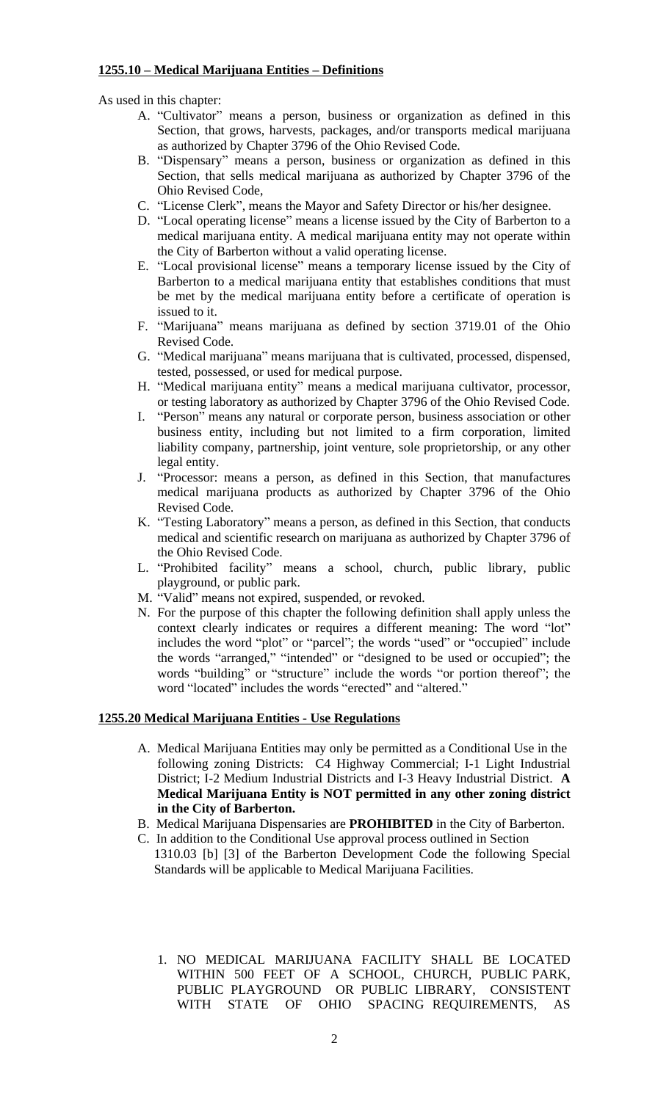## **1255.10 – Medical Marijuana Entities – Definitions**

As used in this chapter:

- A. "Cultivator" means a person, business or organization as defined in this Section, that grows, harvests, packages, and/or transports medical marijuana as authorized by Chapter 3796 of the Ohio Revised Code.
- B. "Dispensary" means a person, business or organization as defined in this Section, that sells medical marijuana as authorized by Chapter 3796 of the Ohio Revised Code,
- C. "License Clerk", means the Mayor and Safety Director or his/her designee.
- D. "Local operating license" means a license issued by the City of Barberton to a medical marijuana entity. A medical marijuana entity may not operate within the City of Barberton without a valid operating license.
- E. "Local provisional license" means a temporary license issued by the City of Barberton to a medical marijuana entity that establishes conditions that must be met by the medical marijuana entity before a certificate of operation is issued to it.
- F. "Marijuana" means marijuana as defined by section 3719.01 of the Ohio Revised Code.
- G. "Medical marijuana" means marijuana that is cultivated, processed, dispensed, tested, possessed, or used for medical purpose.
- H. "Medical marijuana entity" means a medical marijuana cultivator, processor, or testing laboratory as authorized by Chapter 3796 of the Ohio Revised Code.
- I. "Person" means any natural or corporate person, business association or other business entity, including but not limited to a firm corporation, limited liability company, partnership, joint venture, sole proprietorship, or any other legal entity.
- J. "Processor: means a person, as defined in this Section, that manufactures medical marijuana products as authorized by Chapter 3796 of the Ohio Revised Code.
- K. "Testing Laboratory" means a person, as defined in this Section, that conducts medical and scientific research on marijuana as authorized by Chapter 3796 of the Ohio Revised Code.
- L. "Prohibited facility" means a school, church, public library, public playground, or public park.
- M. "Valid" means not expired, suspended, or revoked.
- N. For the purpose of this chapter the following definition shall apply unless the context clearly indicates or requires a different meaning: The word "lot" includes the word "plot" or "parcel"; the words "used" or "occupied" include the words "arranged," "intended" or "designed to be used or occupied"; the words "building" or "structure" include the words "or portion thereof"; the word "located" includes the words "erected" and "altered."

#### **1255.20 Medical Marijuana Entities - Use Regulations**

- A. Medical Marijuana Entities may only be permitted as a Conditional Use in the following zoning Districts: C4 Highway Commercial; I-1 Light Industrial District; I-2 Medium Industrial Districts and I-3 Heavy Industrial District. **A Medical Marijuana Entity is NOT permitted in any other zoning district in the City of Barberton.**
- B. Medical Marijuana Dispensaries are **PROHIBITED** in the City of Barberton.
- C. In addition to the Conditional Use approval process outlined in Section 1310.03 [b] [3] of the Barberton Development Code the following Special Standards will be applicable to Medical Marijuana Facilities.
	- 1. NO MEDICAL MARIJUANA FACILITY SHALL BE LOCATED WITHIN 500 FEET OF A SCHOOL, CHURCH, PUBLIC PARK, PUBLIC PLAYGROUND OR PUBLIC LIBRARY, CONSISTENT WITH STATE OF OHIO SPACING REQUIREMENTS, AS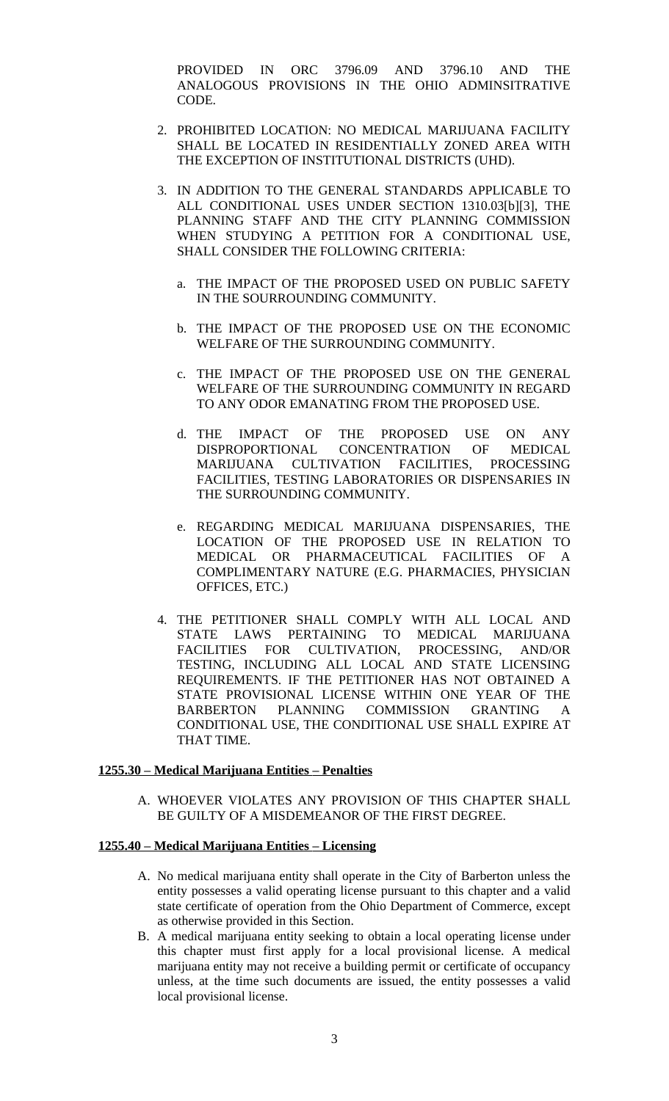PROVIDED IN ORC 3796.09 AND 3796.10 AND THE ANALOGOUS PROVISIONS IN THE OHIO ADMINSITRATIVE CODE.

- 2. PROHIBITED LOCATION: NO MEDICAL MARIJUANA FACILITY SHALL BE LOCATED IN RESIDENTIALLY ZONED AREA WITH THE EXCEPTION OF INSTITUTIONAL DISTRICTS (UHD).
- 3. IN ADDITION TO THE GENERAL STANDARDS APPLICABLE TO ALL CONDITIONAL USES UNDER SECTION 1310.03[b][3], THE PLANNING STAFF AND THE CITY PLANNING COMMISSION WHEN STUDYING A PETITION FOR A CONDITIONAL USE, SHALL CONSIDER THE FOLLOWING CRITERIA:
	- a. THE IMPACT OF THE PROPOSED USED ON PUBLIC SAFETY IN THE SOURROUNDING COMMUNITY.
	- b. THE IMPACT OF THE PROPOSED USE ON THE ECONOMIC WELFARE OF THE SURROUNDING COMMUNITY.
	- c. THE IMPACT OF THE PROPOSED USE ON THE GENERAL WELFARE OF THE SURROUNDING COMMUNITY IN REGARD TO ANY ODOR EMANATING FROM THE PROPOSED USE.
	- d. THE IMPACT OF THE PROPOSED USE ON ANY DISPROPORTIONAL CONCENTRATION OF MEDICAL DISPROPORTIONAL MARIJUANA CULTIVATION FACILITIES, PROCESSING FACILITIES, TESTING LABORATORIES OR DISPENSARIES IN THE SURROUNDING COMMUNITY.
	- e. REGARDING MEDICAL MARIJUANA DISPENSARIES, THE LOCATION OF THE PROPOSED USE IN RELATION TO MEDICAL OR PHARMACEUTICAL FACILITIES OF A COMPLIMENTARY NATURE (E.G. PHARMACIES, PHYSICIAN OFFICES, ETC.)
- 4. THE PETITIONER SHALL COMPLY WITH ALL LOCAL AND STATE LAWS PERTAINING TO MEDICAL MARIJUANA<br>FACILITIES FOR CULTIVATION, PROCESSING, AND/OR FACILITIES FOR CULTIVATION, PROCESSING, AND/OR TESTING, INCLUDING ALL LOCAL AND STATE LICENSING REQUIREMENTS. IF THE PETITIONER HAS NOT OBTAINED A STATE PROVISIONAL LICENSE WITHIN ONE YEAR OF THE BARBERTON PLANNING COMMISSION GRANTING A CONDITIONAL USE, THE CONDITIONAL USE SHALL EXPIRE AT THAT TIME.

#### **1255.30 – Medical Marijuana Entities – Penalties**

A. WHOEVER VIOLATES ANY PROVISION OF THIS CHAPTER SHALL BE GUILTY OF A MISDEMEANOR OF THE FIRST DEGREE.

### **1255.40 – Medical Marijuana Entities – Licensing**

- A. No medical marijuana entity shall operate in the City of Barberton unless the entity possesses a valid operating license pursuant to this chapter and a valid state certificate of operation from the Ohio Department of Commerce, except as otherwise provided in this Section.
- B. A medical marijuana entity seeking to obtain a local operating license under this chapter must first apply for a local provisional license. A medical marijuana entity may not receive a building permit or certificate of occupancy unless, at the time such documents are issued, the entity possesses a valid local provisional license.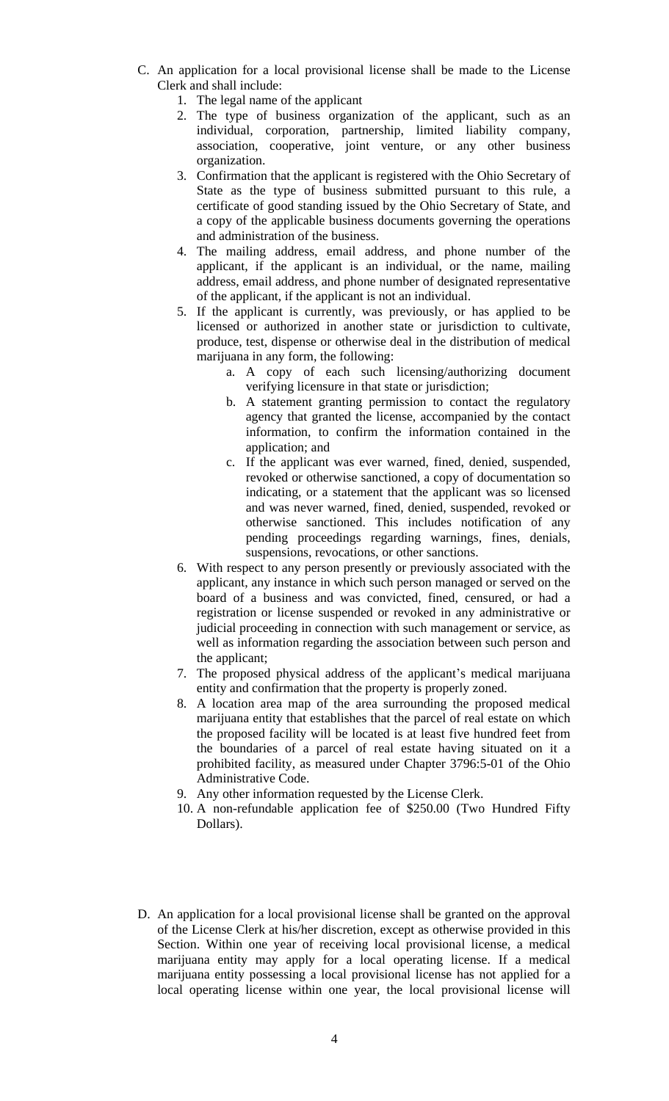- C. An application for a local provisional license shall be made to the License Clerk and shall include:
	- 1. The legal name of the applicant
	- 2. The type of business organization of the applicant, such as an individual, corporation, partnership, limited liability company, association, cooperative, joint venture, or any other business organization.
	- 3. Confirmation that the applicant is registered with the Ohio Secretary of State as the type of business submitted pursuant to this rule, a certificate of good standing issued by the Ohio Secretary of State, and a copy of the applicable business documents governing the operations and administration of the business.
	- 4. The mailing address, email address, and phone number of the applicant, if the applicant is an individual, or the name, mailing address, email address, and phone number of designated representative of the applicant, if the applicant is not an individual.
	- 5. If the applicant is currently, was previously, or has applied to be licensed or authorized in another state or jurisdiction to cultivate, produce, test, dispense or otherwise deal in the distribution of medical marijuana in any form, the following:
		- a. A copy of each such licensing/authorizing document verifying licensure in that state or jurisdiction;
		- b. A statement granting permission to contact the regulatory agency that granted the license, accompanied by the contact information, to confirm the information contained in the application; and
		- c. If the applicant was ever warned, fined, denied, suspended, revoked or otherwise sanctioned, a copy of documentation so indicating, or a statement that the applicant was so licensed and was never warned, fined, denied, suspended, revoked or otherwise sanctioned. This includes notification of any pending proceedings regarding warnings, fines, denials, suspensions, revocations, or other sanctions.
	- 6. With respect to any person presently or previously associated with the applicant, any instance in which such person managed or served on the board of a business and was convicted, fined, censured, or had a registration or license suspended or revoked in any administrative or judicial proceeding in connection with such management or service, as well as information regarding the association between such person and the applicant;
	- 7. The proposed physical address of the applicant's medical marijuana entity and confirmation that the property is properly zoned.
	- 8. A location area map of the area surrounding the proposed medical marijuana entity that establishes that the parcel of real estate on which the proposed facility will be located is at least five hundred feet from the boundaries of a parcel of real estate having situated on it a prohibited facility, as measured under Chapter 3796:5-01 of the Ohio Administrative Code.
	- 9. Any other information requested by the License Clerk.
	- 10. A non-refundable application fee of \$250.00 (Two Hundred Fifty Dollars).
- D. An application for a local provisional license shall be granted on the approval of the License Clerk at his/her discretion, except as otherwise provided in this Section. Within one year of receiving local provisional license, a medical marijuana entity may apply for a local operating license. If a medical marijuana entity possessing a local provisional license has not applied for a local operating license within one year, the local provisional license will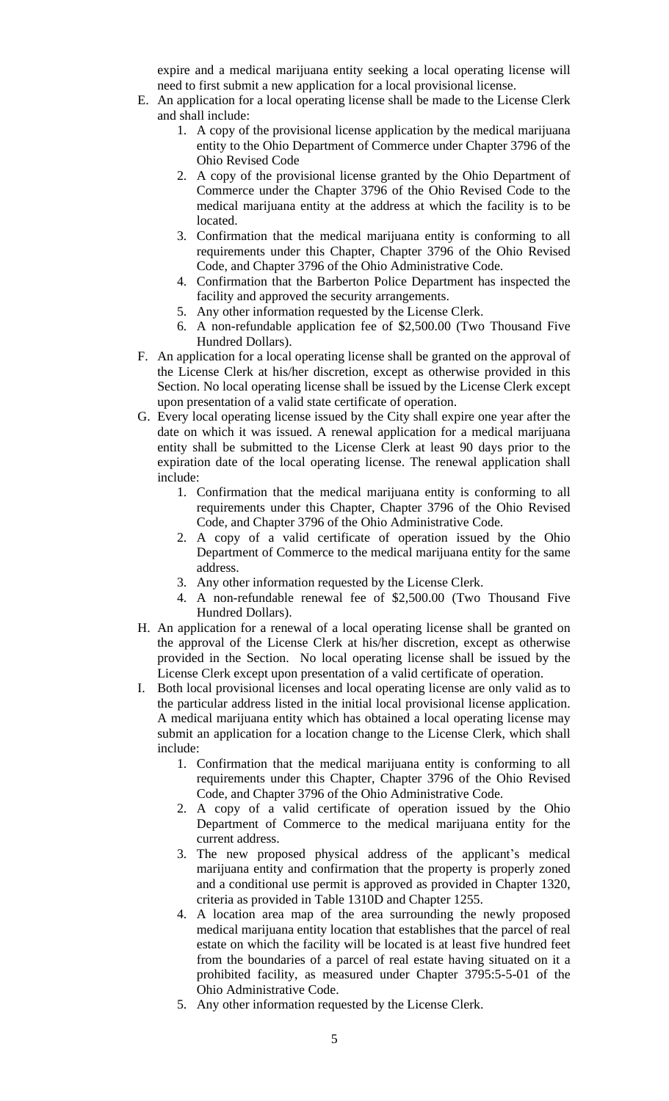expire and a medical marijuana entity seeking a local operating license will need to first submit a new application for a local provisional license.

- E. An application for a local operating license shall be made to the License Clerk and shall include:
	- 1. A copy of the provisional license application by the medical marijuana entity to the Ohio Department of Commerce under Chapter 3796 of the Ohio Revised Code
	- 2. A copy of the provisional license granted by the Ohio Department of Commerce under the Chapter 3796 of the Ohio Revised Code to the medical marijuana entity at the address at which the facility is to be located.
	- 3. Confirmation that the medical marijuana entity is conforming to all requirements under this Chapter, Chapter 3796 of the Ohio Revised Code, and Chapter 3796 of the Ohio Administrative Code.
	- 4. Confirmation that the Barberton Police Department has inspected the facility and approved the security arrangements.
	- 5. Any other information requested by the License Clerk.
	- 6. A non-refundable application fee of \$2,500.00 (Two Thousand Five Hundred Dollars).
- F. An application for a local operating license shall be granted on the approval of the License Clerk at his/her discretion, except as otherwise provided in this Section. No local operating license shall be issued by the License Clerk except upon presentation of a valid state certificate of operation.
- G. Every local operating license issued by the City shall expire one year after the date on which it was issued. A renewal application for a medical marijuana entity shall be submitted to the License Clerk at least 90 days prior to the expiration date of the local operating license. The renewal application shall include:
	- 1. Confirmation that the medical marijuana entity is conforming to all requirements under this Chapter, Chapter 3796 of the Ohio Revised Code, and Chapter 3796 of the Ohio Administrative Code.
	- 2. A copy of a valid certificate of operation issued by the Ohio Department of Commerce to the medical marijuana entity for the same address.
	- 3. Any other information requested by the License Clerk.
	- 4. A non-refundable renewal fee of \$2,500.00 (Two Thousand Five Hundred Dollars).
- H. An application for a renewal of a local operating license shall be granted on the approval of the License Clerk at his/her discretion, except as otherwise provided in the Section. No local operating license shall be issued by the License Clerk except upon presentation of a valid certificate of operation.
- I. Both local provisional licenses and local operating license are only valid as to the particular address listed in the initial local provisional license application. A medical marijuana entity which has obtained a local operating license may submit an application for a location change to the License Clerk, which shall include:
	- 1. Confirmation that the medical marijuana entity is conforming to all requirements under this Chapter, Chapter 3796 of the Ohio Revised Code, and Chapter 3796 of the Ohio Administrative Code.
	- 2. A copy of a valid certificate of operation issued by the Ohio Department of Commerce to the medical marijuana entity for the current address.
	- 3. The new proposed physical address of the applicant's medical marijuana entity and confirmation that the property is properly zoned and a conditional use permit is approved as provided in Chapter 1320, criteria as provided in Table 1310D and Chapter 1255.
	- 4. A location area map of the area surrounding the newly proposed medical marijuana entity location that establishes that the parcel of real estate on which the facility will be located is at least five hundred feet from the boundaries of a parcel of real estate having situated on it a prohibited facility, as measured under Chapter 3795:5-5-01 of the Ohio Administrative Code.
	- 5. Any other information requested by the License Clerk.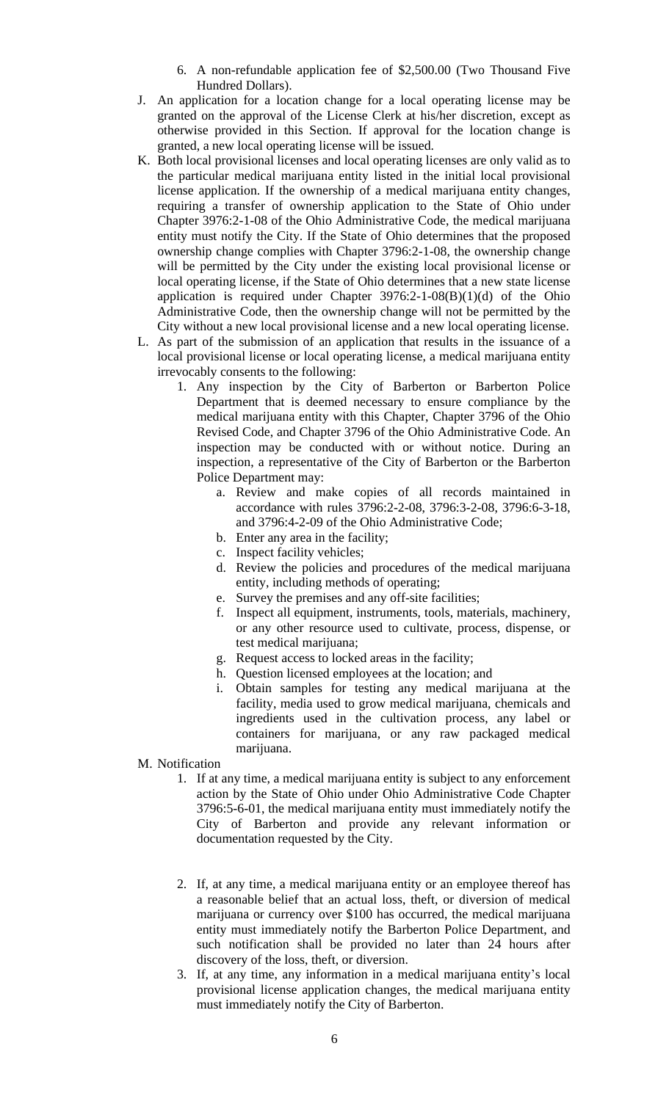- 6. A non-refundable application fee of \$2,500.00 (Two Thousand Five Hundred Dollars).
- J. An application for a location change for a local operating license may be granted on the approval of the License Clerk at his/her discretion, except as otherwise provided in this Section. If approval for the location change is granted, a new local operating license will be issued.
- K. Both local provisional licenses and local operating licenses are only valid as to the particular medical marijuana entity listed in the initial local provisional license application. If the ownership of a medical marijuana entity changes, requiring a transfer of ownership application to the State of Ohio under Chapter 3976:2-1-08 of the Ohio Administrative Code, the medical marijuana entity must notify the City. If the State of Ohio determines that the proposed ownership change complies with Chapter 3796:2-1-08, the ownership change will be permitted by the City under the existing local provisional license or local operating license, if the State of Ohio determines that a new state license application is required under Chapter  $3976:2-1-08(B)(1)(d)$  of the Ohio Administrative Code, then the ownership change will not be permitted by the City without a new local provisional license and a new local operating license.
- L. As part of the submission of an application that results in the issuance of a local provisional license or local operating license, a medical marijuana entity irrevocably consents to the following:
	- 1. Any inspection by the City of Barberton or Barberton Police Department that is deemed necessary to ensure compliance by the medical marijuana entity with this Chapter, Chapter 3796 of the Ohio Revised Code, and Chapter 3796 of the Ohio Administrative Code. An inspection may be conducted with or without notice. During an inspection, a representative of the City of Barberton or the Barberton Police Department may:
		- a. Review and make copies of all records maintained in accordance with rules 3796:2-2-08, 3796:3-2-08, 3796:6-3-18, and 3796:4-2-09 of the Ohio Administrative Code;
		- b. Enter any area in the facility;
		- c. Inspect facility vehicles;
		- d. Review the policies and procedures of the medical marijuana entity, including methods of operating;
		- e. Survey the premises and any off-site facilities;
		- f. Inspect all equipment, instruments, tools, materials, machinery, or any other resource used to cultivate, process, dispense, or test medical marijuana;
		- g. Request access to locked areas in the facility;
		- h. Question licensed employees at the location; and
		- i. Obtain samples for testing any medical marijuana at the facility, media used to grow medical marijuana, chemicals and ingredients used in the cultivation process, any label or containers for marijuana, or any raw packaged medical marijuana.
- M. Notification
	- 1. If at any time, a medical marijuana entity is subject to any enforcement action by the State of Ohio under Ohio Administrative Code Chapter 3796:5-6-01, the medical marijuana entity must immediately notify the City of Barberton and provide any relevant information or documentation requested by the City.
	- 2. If, at any time, a medical marijuana entity or an employee thereof has a reasonable belief that an actual loss, theft, or diversion of medical marijuana or currency over \$100 has occurred, the medical marijuana entity must immediately notify the Barberton Police Department, and such notification shall be provided no later than 24 hours after discovery of the loss, theft, or diversion.
	- 3. If, at any time, any information in a medical marijuana entity's local provisional license application changes, the medical marijuana entity must immediately notify the City of Barberton.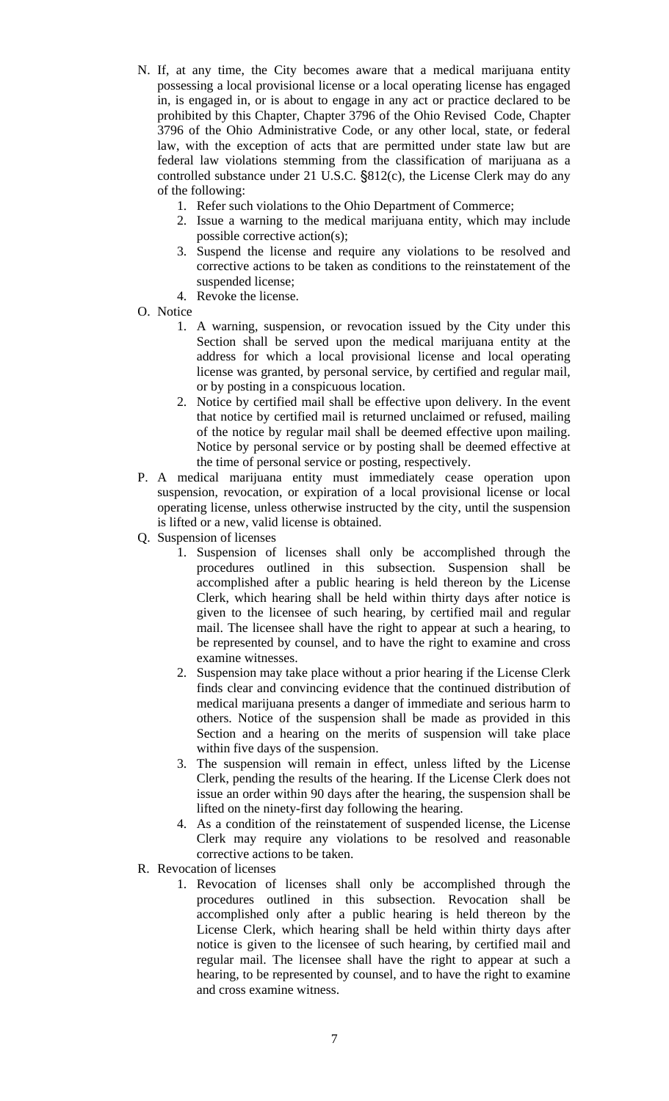- N. If, at any time, the City becomes aware that a medical marijuana entity possessing a local provisional license or a local operating license has engaged in, is engaged in, or is about to engage in any act or practice declared to be prohibited by this Chapter, Chapter 3796 of the Ohio Revised Code, Chapter 3796 of the Ohio Administrative Code, or any other local, state, or federal law, with the exception of acts that are permitted under state law but are federal law violations stemming from the classification of marijuana as a controlled substance under 21 U.S.C. §812(c), the License Clerk may do any of the following:
	- 1. Refer such violations to the Ohio Department of Commerce;
	- 2. Issue a warning to the medical marijuana entity, which may include possible corrective action(s);
	- 3. Suspend the license and require any violations to be resolved and corrective actions to be taken as conditions to the reinstatement of the suspended license;
	- 4. Revoke the license.
- O. Notice
	- 1. A warning, suspension, or revocation issued by the City under this Section shall be served upon the medical marijuana entity at the address for which a local provisional license and local operating license was granted, by personal service, by certified and regular mail, or by posting in a conspicuous location.
	- 2. Notice by certified mail shall be effective upon delivery. In the event that notice by certified mail is returned unclaimed or refused, mailing of the notice by regular mail shall be deemed effective upon mailing. Notice by personal service or by posting shall be deemed effective at the time of personal service or posting, respectively.
- P. A medical marijuana entity must immediately cease operation upon suspension, revocation, or expiration of a local provisional license or local operating license, unless otherwise instructed by the city, until the suspension is lifted or a new, valid license is obtained.
- Q. Suspension of licenses
	- 1. Suspension of licenses shall only be accomplished through the procedures outlined in this subsection. Suspension shall be accomplished after a public hearing is held thereon by the License Clerk, which hearing shall be held within thirty days after notice is given to the licensee of such hearing, by certified mail and regular mail. The licensee shall have the right to appear at such a hearing, to be represented by counsel, and to have the right to examine and cross examine witnesses.
	- 2. Suspension may take place without a prior hearing if the License Clerk finds clear and convincing evidence that the continued distribution of medical marijuana presents a danger of immediate and serious harm to others. Notice of the suspension shall be made as provided in this Section and a hearing on the merits of suspension will take place within five days of the suspension.
	- 3. The suspension will remain in effect, unless lifted by the License Clerk, pending the results of the hearing. If the License Clerk does not issue an order within 90 days after the hearing, the suspension shall be lifted on the ninety-first day following the hearing.
	- 4. As a condition of the reinstatement of suspended license, the License Clerk may require any violations to be resolved and reasonable corrective actions to be taken.
- R. Revocation of licenses
	- 1. Revocation of licenses shall only be accomplished through the procedures outlined in this subsection. Revocation shall be accomplished only after a public hearing is held thereon by the License Clerk, which hearing shall be held within thirty days after notice is given to the licensee of such hearing, by certified mail and regular mail. The licensee shall have the right to appear at such a hearing, to be represented by counsel, and to have the right to examine and cross examine witness.